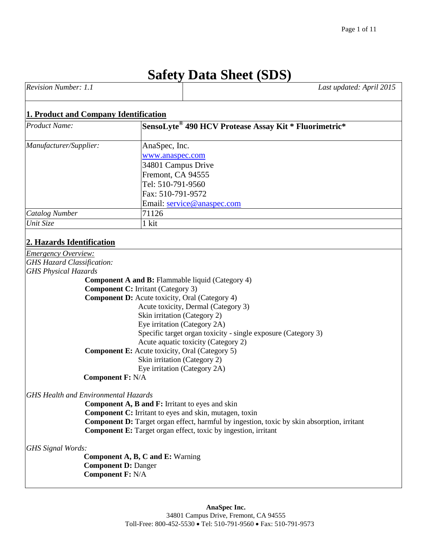# **Safety Data Sheet (SDS)**

| Revision Number: 1.1 | Last updated: April 2015 |
|----------------------|--------------------------|
|                      |                          |

## **1. Product and Company Identification**

| <b>Product Name:</b>   | SensoLyte <sup>®</sup> 490 HCV Protease Assay Kit * Fluorimetric* |
|------------------------|-------------------------------------------------------------------|
| Manufacturer/Supplier: | AnaSpec, Inc.                                                     |
|                        | www.anaspec.com                                                   |
|                        | 34801 Campus Drive                                                |
|                        | Fremont, CA 94555                                                 |
|                        | Tel: 510-791-9560                                                 |
|                        | Fax: 510-791-9572                                                 |
|                        | Email: service@anaspec.com                                        |
| <b>Catalog Number</b>  | 71126                                                             |
| Unit Size              | 1 kit                                                             |

## **2. Hazards Identification**

*Emergency Overview: GHS Hazard Classification: GHS Physical Hazards*  **Component A and B:** Flammable liquid (Category 4) **Component C:** Irritant (Category 3) **Component D:** Acute toxicity, Oral (Category 4) Acute toxicity, Dermal (Category 3) Skin irritation (Category 2) Eye irritation (Category 2A) Specific target organ toxicity - single exposure (Category 3) Acute aquatic toxicity (Category 2) **Component E:** Acute toxicity, Oral (Category 5) Skin irritation (Category 2) Eye irritation (Category 2A) **Component F:** N/A *GHS Health and Environmental Hazards* **Component A, B and F:** Irritant to eyes and skin **Component C:** Irritant to eyes and skin, mutagen, toxin **Component D:** Target organ effect, harmful by ingestion, toxic by skin absorption, irritant **Component E:** Target organ effect, toxic by ingestion, irritant *GHS Signal Words:*  **Component A, B, C and E:** Warning **Component D:** Danger **Component F:** N/A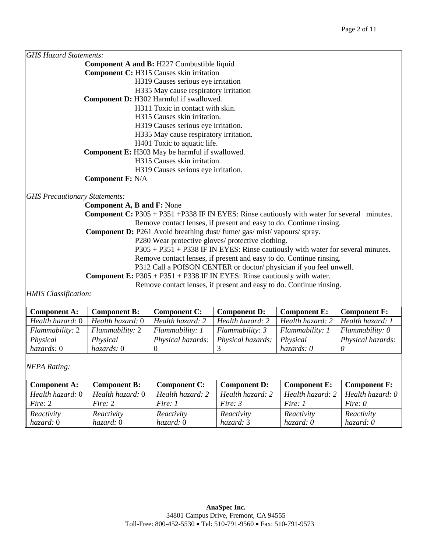| <b>GHS Hazard Statements:</b>        |                                                                                   |                                        |                                                                                                     |                     |                     |
|--------------------------------------|-----------------------------------------------------------------------------------|----------------------------------------|-----------------------------------------------------------------------------------------------------|---------------------|---------------------|
|                                      | <b>Component A and B: H227 Combustible liquid</b>                                 |                                        |                                                                                                     |                     |                     |
|                                      | <b>Component C: H315 Causes skin irritation</b>                                   |                                        |                                                                                                     |                     |                     |
|                                      |                                                                                   | H319 Causes serious eye irritation     |                                                                                                     |                     |                     |
|                                      |                                                                                   | H335 May cause respiratory irritation  |                                                                                                     |                     |                     |
|                                      | Component D: H302 Harmful if swallowed.                                           |                                        |                                                                                                     |                     |                     |
|                                      |                                                                                   | H311 Toxic in contact with skin.       |                                                                                                     |                     |                     |
|                                      |                                                                                   | H315 Causes skin irritation.           |                                                                                                     |                     |                     |
|                                      |                                                                                   | H319 Causes serious eye irritation.    |                                                                                                     |                     |                     |
|                                      |                                                                                   | H335 May cause respiratory irritation. |                                                                                                     |                     |                     |
|                                      |                                                                                   | H401 Toxic to aquatic life.            |                                                                                                     |                     |                     |
|                                      | <b>Component E:</b> H303 May be harmful if swallowed.                             |                                        |                                                                                                     |                     |                     |
|                                      |                                                                                   | H315 Causes skin irritation.           |                                                                                                     |                     |                     |
|                                      |                                                                                   | H319 Causes serious eye irritation.    |                                                                                                     |                     |                     |
|                                      | <b>Component F: N/A</b>                                                           |                                        |                                                                                                     |                     |                     |
| <b>GHS Precautionary Statements:</b> |                                                                                   |                                        |                                                                                                     |                     |                     |
|                                      | <b>Component A, B and F: None</b>                                                 |                                        |                                                                                                     |                     |                     |
|                                      |                                                                                   |                                        | <b>Component C:</b> P305 + P351 + P338 IF IN EYES: Rinse cautiously with water for several minutes. |                     |                     |
|                                      |                                                                                   |                                        | Remove contact lenses, if present and easy to do. Continue rinsing.                                 |                     |                     |
|                                      | <b>Component D:</b> P261 Avoid breathing dust/fume/gas/mist/vapours/spray.        |                                        |                                                                                                     |                     |                     |
|                                      | P280 Wear protective gloves/ protective clothing.                                 |                                        |                                                                                                     |                     |                     |
|                                      | $P305 + P351 + P338$ IF IN EYES: Rinse cautiously with water for several minutes. |                                        |                                                                                                     |                     |                     |
|                                      | Remove contact lenses, if present and easy to do. Continue rinsing.               |                                        |                                                                                                     |                     |                     |
|                                      | P312 Call a POISON CENTER or doctor/physician if you feel unwell.                 |                                        |                                                                                                     |                     |                     |
|                                      |                                                                                   |                                        | <b>Component E:</b> $P305 + P351 + P338$ IF IN EYES: Rinse cautiously with water.                   |                     |                     |
|                                      |                                                                                   |                                        | Remove contact lenses, if present and easy to do. Continue rinsing.                                 |                     |                     |
| <b>HMIS</b> Classification:          |                                                                                   |                                        |                                                                                                     |                     |                     |
|                                      |                                                                                   |                                        |                                                                                                     |                     |                     |
| <b>Component A:</b>                  | <b>Component B:</b>                                                               | <b>Component C:</b>                    | <b>Component D:</b>                                                                                 | <b>Component E:</b> | <b>Component F:</b> |

| <b>Component A:</b> | <b>Component B:</b>    | <b>Component C:</b>      | <b>Component D:</b>      | <b>Component E:</b> | <b>Component F:</b> |
|---------------------|------------------------|--------------------------|--------------------------|---------------------|---------------------|
| Health hazard: 0    | Health hazard: 0       | Health hazard: 2         | Health hazard: 2         | Health hazard: 2    | Health hazard: 1    |
| Flammability: 2     | <i>Flammability: 2</i> | Flammability: 1          | <i>Flammability: 3</i>   | Flammability: 1     | $Flammability: 0$   |
| Physical            | Physical               | <i>Physical hazards:</i> | <i>Physical hazards:</i> | Physical            | Physical hazards:   |
| hazards: 0          | hazards: 0             |                          |                          | hazards: 0          |                     |

*NFPA Rating:*

| <b>Component A:</b> | Component B:     | <b>Component C:</b> | <b>Component D:</b> | <b>Component E:</b> | <b>Component F:</b> |
|---------------------|------------------|---------------------|---------------------|---------------------|---------------------|
| Health hazard: 0    | Health hazard: 0 | Health hazard: 2    | Health hazard: 2    | Health hazard: 2    | Health hazard: $0$  |
| Fire: $2$           | Fire: $2$        | Fire: 1             | Fire: $3$           | Fire: 1             | Fire: $\theta$      |
| Reactivity          | Reactivity       | Reactivity          | Reactivity          | Reactivity          | Reactivity          |
| hazard: 0           | hazard: 0        | hazard: 0           | hazard: 3           | hazard: 0           | hazard: 0           |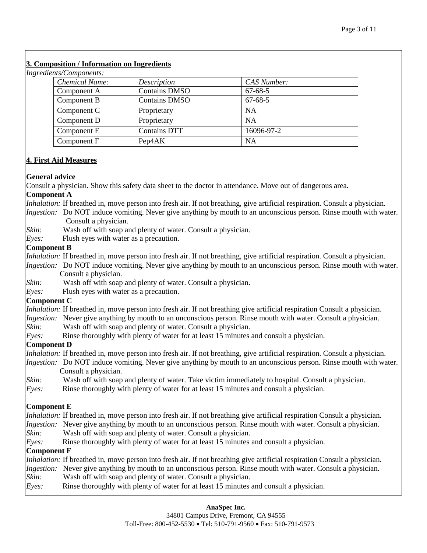## **3. Composition / Information on Ingredients**

*Ingredients/Components:* 

| $\epsilon$ . $\epsilon$ . $\epsilon$ . $\epsilon$ . $\epsilon$ . $\epsilon$ . $\epsilon$ . $\epsilon$ . $\epsilon$ . $\epsilon$ . $\epsilon$ . $\epsilon$ . $\epsilon$ . $\epsilon$ . $\epsilon$ . $\epsilon$ . $\epsilon$ . $\epsilon$ . $\epsilon$ . $\epsilon$ . $\epsilon$ . $\epsilon$ . $\epsilon$ . $\epsilon$ . $\epsilon$ . $\epsilon$ . $\epsilon$ . $\epsilon$ . $\epsilon$ . $\epsilon$ . $\epsilon$ . $\epsilon$ |                      |               |
|-------------------------------------------------------------------------------------------------------------------------------------------------------------------------------------------------------------------------------------------------------------------------------------------------------------------------------------------------------------------------------------------------------------------------------|----------------------|---------------|
| <b>Chemical Name:</b>                                                                                                                                                                                                                                                                                                                                                                                                         | Description          | CAS Number:   |
| Component A                                                                                                                                                                                                                                                                                                                                                                                                                   | <b>Contains DMSO</b> | $67 - 68 - 5$ |
| Component B                                                                                                                                                                                                                                                                                                                                                                                                                   | <b>Contains DMSO</b> | $67 - 68 - 5$ |
| Component C                                                                                                                                                                                                                                                                                                                                                                                                                   | Proprietary          | <b>NA</b>     |
| Component D                                                                                                                                                                                                                                                                                                                                                                                                                   | Proprietary          | <b>NA</b>     |
| Component E                                                                                                                                                                                                                                                                                                                                                                                                                   | <b>Contains DTT</b>  | 16096-97-2    |
| Component F                                                                                                                                                                                                                                                                                                                                                                                                                   | Pep4AK               | <b>NA</b>     |

## **4. First Aid Measures**

#### **General advice**

Consult a physician. Show this safety data sheet to the doctor in attendance. Move out of dangerous area.

#### **Component A**

*Inhalation:* If breathed in, move person into fresh air. If not breathing, give artificial respiration. Consult a physician.

- *Ingestion:* Do NOT induce vomiting. Never give anything by mouth to an unconscious person. Rinse mouth with water. Consult a physician.
- *Skin:* Wash off with soap and plenty of water. Consult a physician.
- *Eyes:* Flush eyes with water as a precaution.

#### **Component B**

*Inhalation:* If breathed in, move person into fresh air. If not breathing, give artificial respiration. Consult a physician.

*Ingestion:* Do NOT induce vomiting. Never give anything by mouth to an unconscious person. Rinse mouth with water. Consult a physician.

- *Skin:* Wash off with soap and plenty of water. Consult a physician.
- *Eyes:* Flush eyes with water as a precaution.

#### **Component C**

- *Inhalation:* If breathed in, move person into fresh air. If not breathing give artificial respiration Consult a physician.
- *Ingestion:* Never give anything by mouth to an unconscious person. Rinse mouth with water. Consult a physician.
- *Skin:* Wash off with soap and plenty of water. Consult a physician.
- *Eyes:* Rinse thoroughly with plenty of water for at least 15 minutes and consult a physician.

# **Component D**

- *Inhalation:* If breathed in, move person into fresh air. If not breathing, give artificial respiration. Consult a physician.
- *Ingestion:* Do NOT induce vomiting. Never give anything by mouth to an unconscious person. Rinse mouth with water. Consult a physician.
- *Skin:* Wash off with soap and plenty of water. Take victim immediately to hospital. Consult a physician.
- *Eyes:* Rinse thoroughly with plenty of water for at least 15 minutes and consult a physician.

# **Component E**

*Inhalation:* If breathed in, move person into fresh air. If not breathing give artificial respiration Consult a physician. *Ingestion:* Never give anything by mouth to an unconscious person. Rinse mouth with water. Consult a physician. *Skin:* Wash off with soap and plenty of water. Consult a physician. *Eyes:* Rinse thoroughly with plenty of water for at least 15 minutes and consult a physician. **Component F** *Inhalation:* If breathed in, move person into fresh air. If not breathing give artificial respiration Consult a physician.

#### *Ingestion:* Never give anything by mouth to an unconscious person. Rinse mouth with water. Consult a physician. *Skin:* Wash off with soap and plenty of water. Consult a physician.

*Eyes:* Rinse thoroughly with plenty of water for at least 15 minutes and consult a physician.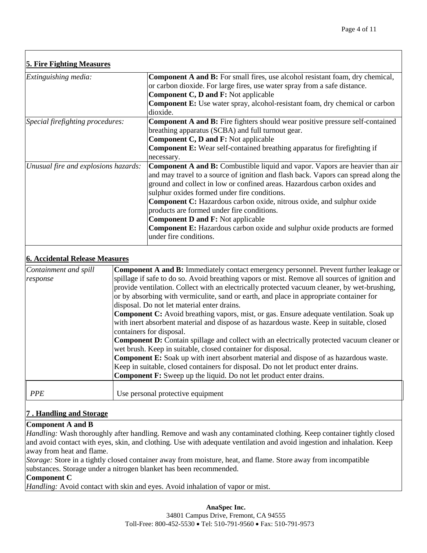| <b>5. Fire Fighting Measures</b>     |                                                                                                                                                                                                                                                                                                                                                                                                                                                                                                                                                                                               |
|--------------------------------------|-----------------------------------------------------------------------------------------------------------------------------------------------------------------------------------------------------------------------------------------------------------------------------------------------------------------------------------------------------------------------------------------------------------------------------------------------------------------------------------------------------------------------------------------------------------------------------------------------|
| Extinguishing media:                 | <b>Component A and B:</b> For small fires, use alcohol resistant foam, dry chemical,<br>or carbon dioxide. For large fires, use water spray from a safe distance.<br><b>Component C, D and F:</b> Not applicable<br><b>Component E:</b> Use water spray, alcohol-resistant foam, dry chemical or carbon<br>dioxide.                                                                                                                                                                                                                                                                           |
| Special firefighting procedures:     | <b>Component A and B:</b> Fire fighters should wear positive pressure self-contained<br>breathing apparatus (SCBA) and full turnout gear.<br><b>Component C, D and F:</b> Not applicable<br><b>Component E:</b> Wear self-contained breathing apparatus for firefighting if<br>necessary.                                                                                                                                                                                                                                                                                                     |
| Unusual fire and explosions hazards: | <b>Component A and B:</b> Combustible liquid and vapor. Vapors are heavier than air<br>and may travel to a source of ignition and flash back. Vapors can spread along the<br>ground and collect in low or confined areas. Hazardous carbon oxides and<br>sulphur oxides formed under fire conditions.<br><b>Component C:</b> Hazardous carbon oxide, nitrous oxide, and sulphur oxide<br>products are formed under fire conditions.<br><b>Component D and F:</b> Not applicable<br><b>Component E:</b> Hazardous carbon oxide and sulphur oxide products are formed<br>under fire conditions. |

## **6. Accidental Release Measures**

| Containment and spill | <b>Component A and B:</b> Immediately contact emergency personnel. Prevent further leakage or     |
|-----------------------|---------------------------------------------------------------------------------------------------|
| response              | spillage if safe to do so. Avoid breathing vapors or mist. Remove all sources of ignition and     |
|                       | provide ventilation. Collect with an electrically protected vacuum cleaner, by wet-brushing,      |
|                       | or by absorbing with vermiculite, sand or earth, and place in appropriate container for           |
|                       | disposal. Do not let material enter drains.                                                       |
|                       | Component C: Avoid breathing vapors, mist, or gas. Ensure adequate ventilation. Soak up           |
|                       | with inert absorbent material and dispose of as hazardous waste. Keep in suitable, closed         |
|                       | containers for disposal.                                                                          |
|                       | <b>Component D:</b> Contain spillage and collect with an electrically protected vacuum cleaner or |
|                       | wet brush. Keep in suitable, closed container for disposal.                                       |
|                       | <b>Component E:</b> Soak up with inert absorbent material and dispose of as hazardous waste.      |
|                       | Keep in suitable, closed containers for disposal. Do not let product enter drains.                |
|                       | Component F: Sweep up the liquid. Do not let product enter drains.                                |
|                       |                                                                                                   |
| <b>PPE</b>            | Use personal protective equipment                                                                 |

#### **7 . Handling and Storage**

#### **Component A and B**

*Handling:* Wash thoroughly after handling. Remove and wash any contaminated clothing. Keep container tightly closed and avoid contact with eyes, skin, and clothing. Use with adequate ventilation and avoid ingestion and inhalation. Keep away from heat and flame.

*Storage:* Store in a tightly closed container away from moisture, heat, and flame. Store away from incompatible substances. Storage under a nitrogen blanket has been recommended.

#### **Component C**

*Handling:* Avoid contact with skin and eyes. Avoid inhalation of vapor or mist.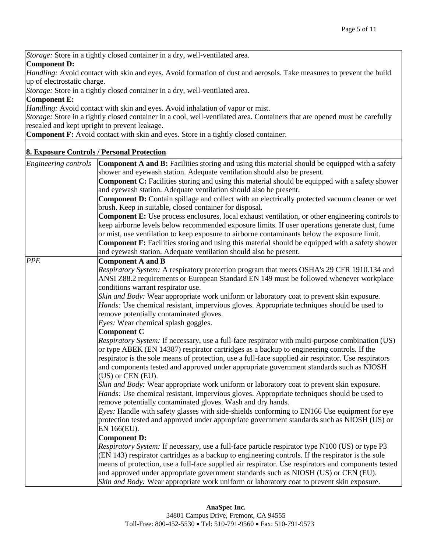*Storage:* Store in a tightly closed container in a dry, well-ventilated area.

#### **Component D:**

*Handling:* Avoid contact with skin and eyes. Avoid formation of dust and aerosols. Take measures to prevent the build up of electrostatic charge.

*Storage:* Store in a tightly closed container in a dry, well-ventilated area.

#### **Component E:**

*Handling:* Avoid contact with skin and eyes. Avoid inhalation of vapor or mist.

*Storage:* Store in a tightly closed container in a cool, well-ventilated area. Containers that are opened must be carefully resealed and kept upright to prevent leakage.

**Component F:** Avoid contact with skin and eyes. Store in a tightly closed container.

#### **8. Exposure Controls / Personal Protection**

| Engineering controls | <b>Component A and B:</b> Facilities storing and using this material should be equipped with a safety   |
|----------------------|---------------------------------------------------------------------------------------------------------|
|                      | shower and eyewash station. Adequate ventilation should also be present.                                |
|                      | <b>Component C:</b> Facilities storing and using this material should be equipped with a safety shower  |
|                      | and eyewash station. Adequate ventilation should also be present.                                       |
|                      | Component D: Contain spillage and collect with an electrically protected vacuum cleaner or wet          |
|                      | brush. Keep in suitable, closed container for disposal.                                                 |
|                      | <b>Component E:</b> Use process enclosures, local exhaust ventilation, or other engineering controls to |
|                      | keep airborne levels below recommended exposure limits. If user operations generate dust, fume          |
|                      | or mist, use ventilation to keep exposure to airborne contaminants below the exposure limit.            |
|                      | <b>Component F:</b> Facilities storing and using this material should be equipped with a safety shower  |
|                      | and eyewash station. Adequate ventilation should also be present.                                       |
| <b>PPE</b>           | <b>Component A and B</b>                                                                                |
|                      | Respiratory System: A respiratory protection program that meets OSHA's 29 CFR 1910.134 and              |
|                      | ANSI Z88.2 requirements or European Standard EN 149 must be followed whenever workplace                 |
|                      | conditions warrant respirator use.                                                                      |
|                      | Skin and Body: Wear appropriate work uniform or laboratory coat to prevent skin exposure.               |
|                      | Hands: Use chemical resistant, impervious gloves. Appropriate techniques should be used to              |
|                      | remove potentially contaminated gloves.                                                                 |
|                      | Eyes: Wear chemical splash goggles.                                                                     |
|                      | <b>Component C</b>                                                                                      |
|                      | <i>Respiratory System:</i> If necessary, use a full-face respirator with multi-purpose combination (US) |
|                      | or type ABEK (EN 14387) respirator cartridges as a backup to engineering controls. If the               |
|                      | respirator is the sole means of protection, use a full-face supplied air respirator. Use respirators    |
|                      | and components tested and approved under appropriate government standards such as NIOSH                 |
|                      | (US) or CEN (EU).                                                                                       |
|                      | Skin and Body: Wear appropriate work uniform or laboratory coat to prevent skin exposure.               |
|                      | Hands: Use chemical resistant, impervious gloves. Appropriate techniques should be used to              |
|                      | remove potentially contaminated gloves. Wash and dry hands.                                             |
|                      | Eyes: Handle with safety glasses with side-shields conforming to EN166 Use equipment for eye            |
|                      | protection tested and approved under appropriate government standards such as NIOSH (US) or             |
|                      | EN 166(EU).                                                                                             |
|                      | <b>Component D:</b>                                                                                     |
|                      | Respiratory System: If necessary, use a full-face particle respirator type N100 (US) or type P3         |
|                      | (EN 143) respirator cartridges as a backup to engineering controls. If the respirator is the sole       |
|                      | means of protection, use a full-face supplied air respirator. Use respirators and components tested     |
|                      | and approved under appropriate government standards such as NIOSH (US) or CEN (EU).                     |
|                      | Skin and Body: Wear appropriate work uniform or laboratory coat to prevent skin exposure.               |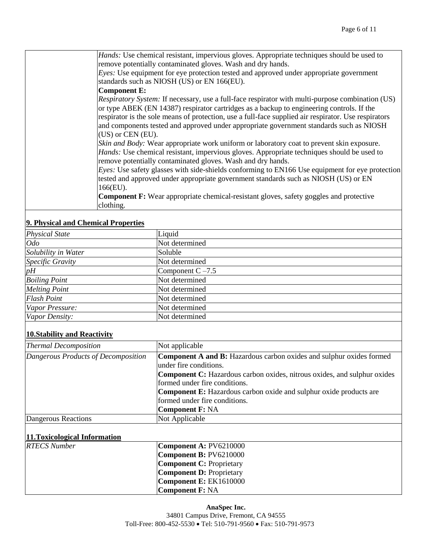*Hands:* Use chemical resistant, impervious gloves. Appropriate techniques should be used to remove potentially contaminated gloves. Wash and dry hands.

*Eyes:* Use equipment for eye protection tested and approved under appropriate government standards such as NIOSH (US) or EN 166(EU).

#### **Component E:**

*Respiratory System:* If necessary, use a full-face respirator with multi-purpose combination (US) or type ABEK (EN 14387) respirator cartridges as a backup to engineering controls. If the respirator is the sole means of protection, use a full-face supplied air respirator. Use respirators and components tested and approved under appropriate government standards such as NIOSH (US) or CEN (EU).

*Skin and Body:* Wear appropriate work uniform or laboratory coat to prevent skin exposure. *Hands:* Use chemical resistant, impervious gloves. Appropriate techniques should be used to remove potentially contaminated gloves. Wash and dry hands.

*Eyes:* Use safety glasses with side-shields conforming to EN166 Use equipment for eye protection tested and approved under appropriate government standards such as NIOSH (US) or EN 166(EU).

**Component F:** Wear appropriate chemical-resistant gloves, safety goggles and protective clothing.

#### **9. Physical and Chemical Properties**

| ----- <i>---</i> - - - - - - - - |                     |
|----------------------------------|---------------------|
| <b>Physical State</b>            | Liquid              |
| Odo                              | Not determined      |
| Solubility in Water              | Soluble             |
| Specific Gravity                 | Not determined      |
| $p\overline{H}$                  | Component $C - 7.5$ |
| <b>Boiling Point</b>             | Not determined      |
| <b>Melting Point</b>             | Not determined      |
| <b>Flash Point</b>               | Not determined      |
| Vapor Pressure:                  | Not determined      |
| Vapor Density:                   | Not determined      |

#### **10.Stability and Reactivity**

| <b>Thermal Decomposition</b>        | Not applicable                                                                  |
|-------------------------------------|---------------------------------------------------------------------------------|
| Dangerous Products of Decomposition | <b>Component A and B:</b> Hazardous carbon oxides and sulphur oxides formed     |
|                                     | under fire conditions.                                                          |
|                                     | <b>Component C:</b> Hazardous carbon oxides, nitrous oxides, and sulphur oxides |
|                                     | formed under fire conditions.                                                   |
|                                     | <b>Component E:</b> Hazardous carbon oxide and sulphur oxide products are       |
|                                     | formed under fire conditions.                                                   |
|                                     | <b>Component F: NA</b>                                                          |
| Dangerous Reactions                 | Not Applicable                                                                  |

#### **11.Toxicological Information**

| <b>RTECS Number</b> | Component A: PV6210000          |
|---------------------|---------------------------------|
|                     | Component B: PV6210000          |
|                     | <b>Component C: Proprietary</b> |
|                     | <b>Component D: Proprietary</b> |
|                     | Component $E: EK1610000$        |
|                     | <b>Component F: NA</b>          |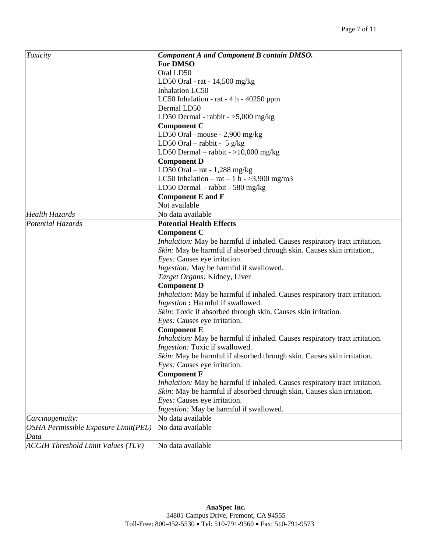| Oral LD50<br>LD50 Oral - rat - $14,500$ mg/kg<br><b>Inhalation LC50</b><br>LC50 Inhalation - rat - 4 h - 40250 ppm<br>Dermal LD50<br>LD50 Dermal - rabbit $-$ >5,000 mg/kg<br><b>Component C</b><br>LD50 Oral -mouse - 2,900 mg/kg<br>LD50 Oral – rabbit - 5 $g/kg$<br>LD50 Dermal – rabbit - > 10,000 mg/kg<br><b>Component D</b><br>LD50 Oral $-$ rat $-1,288$ mg/kg<br>LC50 Inhalation – rat – 1 h - >3,900 mg/m3<br>LD50 Dermal – rabbit - 580 mg/kg<br><b>Component E and F</b><br>Not available<br>No data available<br><b>Health Hazards</b><br>Potential Hazards<br><b>Potential Health Effects</b><br><b>Component C</b><br>Inhalation: May be harmful if inhaled. Causes respiratory tract irritation.<br>Skin: May be harmful if absorbed through skin. Causes skin irritation<br>Eyes: Causes eye irritation.<br>Ingestion: May be harmful if swallowed.<br>Target Organs: Kidney, Liver<br><b>Component D</b><br>Inhalation: May be harmful if inhaled. Causes respiratory tract irritation.<br>Ingestion: Harmful if swallowed.<br>Skin: Toxic if absorbed through skin. Causes skin irritation.<br>Eyes: Causes eye irritation.<br><b>Component E</b><br>Inhalation: May be harmful if inhaled. Causes respiratory tract irritation.<br>Ingestion: Toxic if swallowed.<br>Skin: May be harmful if absorbed through skin. Causes skin irritation.<br><i>Eyes:</i> Causes eye irritation.<br><b>Component F</b><br>Inhalation: May be harmful if inhaled. Causes respiratory tract irritation.<br>Skin: May be harmful if absorbed through skin. Causes skin irritation.<br>Eyes: Causes eye irritation.<br>Ingestion: May be harmful if swallowed.<br>No data available<br>Carcinogenicity:<br>OSHA Permissible Exposure Limit(PEL)<br>No data available<br>Data | Toxicity                                  | <b>Component A and Component B contain DMSO.</b> |
|--------------------------------------------------------------------------------------------------------------------------------------------------------------------------------------------------------------------------------------------------------------------------------------------------------------------------------------------------------------------------------------------------------------------------------------------------------------------------------------------------------------------------------------------------------------------------------------------------------------------------------------------------------------------------------------------------------------------------------------------------------------------------------------------------------------------------------------------------------------------------------------------------------------------------------------------------------------------------------------------------------------------------------------------------------------------------------------------------------------------------------------------------------------------------------------------------------------------------------------------------------------------------------------------------------------------------------------------------------------------------------------------------------------------------------------------------------------------------------------------------------------------------------------------------------------------------------------------------------------------------------------------------------------------------------------------------------------------------------------------------------------------------------|-------------------------------------------|--------------------------------------------------|
|                                                                                                                                                                                                                                                                                                                                                                                                                                                                                                                                                                                                                                                                                                                                                                                                                                                                                                                                                                                                                                                                                                                                                                                                                                                                                                                                                                                                                                                                                                                                                                                                                                                                                                                                                                                |                                           | <b>For DMSO</b>                                  |
|                                                                                                                                                                                                                                                                                                                                                                                                                                                                                                                                                                                                                                                                                                                                                                                                                                                                                                                                                                                                                                                                                                                                                                                                                                                                                                                                                                                                                                                                                                                                                                                                                                                                                                                                                                                |                                           |                                                  |
|                                                                                                                                                                                                                                                                                                                                                                                                                                                                                                                                                                                                                                                                                                                                                                                                                                                                                                                                                                                                                                                                                                                                                                                                                                                                                                                                                                                                                                                                                                                                                                                                                                                                                                                                                                                |                                           |                                                  |
|                                                                                                                                                                                                                                                                                                                                                                                                                                                                                                                                                                                                                                                                                                                                                                                                                                                                                                                                                                                                                                                                                                                                                                                                                                                                                                                                                                                                                                                                                                                                                                                                                                                                                                                                                                                |                                           |                                                  |
|                                                                                                                                                                                                                                                                                                                                                                                                                                                                                                                                                                                                                                                                                                                                                                                                                                                                                                                                                                                                                                                                                                                                                                                                                                                                                                                                                                                                                                                                                                                                                                                                                                                                                                                                                                                |                                           |                                                  |
|                                                                                                                                                                                                                                                                                                                                                                                                                                                                                                                                                                                                                                                                                                                                                                                                                                                                                                                                                                                                                                                                                                                                                                                                                                                                                                                                                                                                                                                                                                                                                                                                                                                                                                                                                                                |                                           |                                                  |
|                                                                                                                                                                                                                                                                                                                                                                                                                                                                                                                                                                                                                                                                                                                                                                                                                                                                                                                                                                                                                                                                                                                                                                                                                                                                                                                                                                                                                                                                                                                                                                                                                                                                                                                                                                                |                                           |                                                  |
|                                                                                                                                                                                                                                                                                                                                                                                                                                                                                                                                                                                                                                                                                                                                                                                                                                                                                                                                                                                                                                                                                                                                                                                                                                                                                                                                                                                                                                                                                                                                                                                                                                                                                                                                                                                |                                           |                                                  |
|                                                                                                                                                                                                                                                                                                                                                                                                                                                                                                                                                                                                                                                                                                                                                                                                                                                                                                                                                                                                                                                                                                                                                                                                                                                                                                                                                                                                                                                                                                                                                                                                                                                                                                                                                                                |                                           |                                                  |
|                                                                                                                                                                                                                                                                                                                                                                                                                                                                                                                                                                                                                                                                                                                                                                                                                                                                                                                                                                                                                                                                                                                                                                                                                                                                                                                                                                                                                                                                                                                                                                                                                                                                                                                                                                                |                                           |                                                  |
|                                                                                                                                                                                                                                                                                                                                                                                                                                                                                                                                                                                                                                                                                                                                                                                                                                                                                                                                                                                                                                                                                                                                                                                                                                                                                                                                                                                                                                                                                                                                                                                                                                                                                                                                                                                |                                           |                                                  |
|                                                                                                                                                                                                                                                                                                                                                                                                                                                                                                                                                                                                                                                                                                                                                                                                                                                                                                                                                                                                                                                                                                                                                                                                                                                                                                                                                                                                                                                                                                                                                                                                                                                                                                                                                                                |                                           |                                                  |
|                                                                                                                                                                                                                                                                                                                                                                                                                                                                                                                                                                                                                                                                                                                                                                                                                                                                                                                                                                                                                                                                                                                                                                                                                                                                                                                                                                                                                                                                                                                                                                                                                                                                                                                                                                                |                                           |                                                  |
|                                                                                                                                                                                                                                                                                                                                                                                                                                                                                                                                                                                                                                                                                                                                                                                                                                                                                                                                                                                                                                                                                                                                                                                                                                                                                                                                                                                                                                                                                                                                                                                                                                                                                                                                                                                |                                           |                                                  |
|                                                                                                                                                                                                                                                                                                                                                                                                                                                                                                                                                                                                                                                                                                                                                                                                                                                                                                                                                                                                                                                                                                                                                                                                                                                                                                                                                                                                                                                                                                                                                                                                                                                                                                                                                                                |                                           |                                                  |
|                                                                                                                                                                                                                                                                                                                                                                                                                                                                                                                                                                                                                                                                                                                                                                                                                                                                                                                                                                                                                                                                                                                                                                                                                                                                                                                                                                                                                                                                                                                                                                                                                                                                                                                                                                                |                                           |                                                  |
|                                                                                                                                                                                                                                                                                                                                                                                                                                                                                                                                                                                                                                                                                                                                                                                                                                                                                                                                                                                                                                                                                                                                                                                                                                                                                                                                                                                                                                                                                                                                                                                                                                                                                                                                                                                |                                           |                                                  |
|                                                                                                                                                                                                                                                                                                                                                                                                                                                                                                                                                                                                                                                                                                                                                                                                                                                                                                                                                                                                                                                                                                                                                                                                                                                                                                                                                                                                                                                                                                                                                                                                                                                                                                                                                                                |                                           |                                                  |
|                                                                                                                                                                                                                                                                                                                                                                                                                                                                                                                                                                                                                                                                                                                                                                                                                                                                                                                                                                                                                                                                                                                                                                                                                                                                                                                                                                                                                                                                                                                                                                                                                                                                                                                                                                                |                                           |                                                  |
|                                                                                                                                                                                                                                                                                                                                                                                                                                                                                                                                                                                                                                                                                                                                                                                                                                                                                                                                                                                                                                                                                                                                                                                                                                                                                                                                                                                                                                                                                                                                                                                                                                                                                                                                                                                |                                           |                                                  |
|                                                                                                                                                                                                                                                                                                                                                                                                                                                                                                                                                                                                                                                                                                                                                                                                                                                                                                                                                                                                                                                                                                                                                                                                                                                                                                                                                                                                                                                                                                                                                                                                                                                                                                                                                                                |                                           |                                                  |
|                                                                                                                                                                                                                                                                                                                                                                                                                                                                                                                                                                                                                                                                                                                                                                                                                                                                                                                                                                                                                                                                                                                                                                                                                                                                                                                                                                                                                                                                                                                                                                                                                                                                                                                                                                                |                                           |                                                  |
|                                                                                                                                                                                                                                                                                                                                                                                                                                                                                                                                                                                                                                                                                                                                                                                                                                                                                                                                                                                                                                                                                                                                                                                                                                                                                                                                                                                                                                                                                                                                                                                                                                                                                                                                                                                |                                           |                                                  |
|                                                                                                                                                                                                                                                                                                                                                                                                                                                                                                                                                                                                                                                                                                                                                                                                                                                                                                                                                                                                                                                                                                                                                                                                                                                                                                                                                                                                                                                                                                                                                                                                                                                                                                                                                                                |                                           |                                                  |
|                                                                                                                                                                                                                                                                                                                                                                                                                                                                                                                                                                                                                                                                                                                                                                                                                                                                                                                                                                                                                                                                                                                                                                                                                                                                                                                                                                                                                                                                                                                                                                                                                                                                                                                                                                                |                                           |                                                  |
|                                                                                                                                                                                                                                                                                                                                                                                                                                                                                                                                                                                                                                                                                                                                                                                                                                                                                                                                                                                                                                                                                                                                                                                                                                                                                                                                                                                                                                                                                                                                                                                                                                                                                                                                                                                |                                           |                                                  |
|                                                                                                                                                                                                                                                                                                                                                                                                                                                                                                                                                                                                                                                                                                                                                                                                                                                                                                                                                                                                                                                                                                                                                                                                                                                                                                                                                                                                                                                                                                                                                                                                                                                                                                                                                                                |                                           |                                                  |
|                                                                                                                                                                                                                                                                                                                                                                                                                                                                                                                                                                                                                                                                                                                                                                                                                                                                                                                                                                                                                                                                                                                                                                                                                                                                                                                                                                                                                                                                                                                                                                                                                                                                                                                                                                                |                                           |                                                  |
|                                                                                                                                                                                                                                                                                                                                                                                                                                                                                                                                                                                                                                                                                                                                                                                                                                                                                                                                                                                                                                                                                                                                                                                                                                                                                                                                                                                                                                                                                                                                                                                                                                                                                                                                                                                |                                           |                                                  |
|                                                                                                                                                                                                                                                                                                                                                                                                                                                                                                                                                                                                                                                                                                                                                                                                                                                                                                                                                                                                                                                                                                                                                                                                                                                                                                                                                                                                                                                                                                                                                                                                                                                                                                                                                                                |                                           |                                                  |
|                                                                                                                                                                                                                                                                                                                                                                                                                                                                                                                                                                                                                                                                                                                                                                                                                                                                                                                                                                                                                                                                                                                                                                                                                                                                                                                                                                                                                                                                                                                                                                                                                                                                                                                                                                                |                                           |                                                  |
|                                                                                                                                                                                                                                                                                                                                                                                                                                                                                                                                                                                                                                                                                                                                                                                                                                                                                                                                                                                                                                                                                                                                                                                                                                                                                                                                                                                                                                                                                                                                                                                                                                                                                                                                                                                |                                           |                                                  |
|                                                                                                                                                                                                                                                                                                                                                                                                                                                                                                                                                                                                                                                                                                                                                                                                                                                                                                                                                                                                                                                                                                                                                                                                                                                                                                                                                                                                                                                                                                                                                                                                                                                                                                                                                                                |                                           |                                                  |
|                                                                                                                                                                                                                                                                                                                                                                                                                                                                                                                                                                                                                                                                                                                                                                                                                                                                                                                                                                                                                                                                                                                                                                                                                                                                                                                                                                                                                                                                                                                                                                                                                                                                                                                                                                                |                                           |                                                  |
|                                                                                                                                                                                                                                                                                                                                                                                                                                                                                                                                                                                                                                                                                                                                                                                                                                                                                                                                                                                                                                                                                                                                                                                                                                                                                                                                                                                                                                                                                                                                                                                                                                                                                                                                                                                |                                           |                                                  |
|                                                                                                                                                                                                                                                                                                                                                                                                                                                                                                                                                                                                                                                                                                                                                                                                                                                                                                                                                                                                                                                                                                                                                                                                                                                                                                                                                                                                                                                                                                                                                                                                                                                                                                                                                                                |                                           |                                                  |
|                                                                                                                                                                                                                                                                                                                                                                                                                                                                                                                                                                                                                                                                                                                                                                                                                                                                                                                                                                                                                                                                                                                                                                                                                                                                                                                                                                                                                                                                                                                                                                                                                                                                                                                                                                                |                                           |                                                  |
|                                                                                                                                                                                                                                                                                                                                                                                                                                                                                                                                                                                                                                                                                                                                                                                                                                                                                                                                                                                                                                                                                                                                                                                                                                                                                                                                                                                                                                                                                                                                                                                                                                                                                                                                                                                |                                           |                                                  |
|                                                                                                                                                                                                                                                                                                                                                                                                                                                                                                                                                                                                                                                                                                                                                                                                                                                                                                                                                                                                                                                                                                                                                                                                                                                                                                                                                                                                                                                                                                                                                                                                                                                                                                                                                                                |                                           |                                                  |
|                                                                                                                                                                                                                                                                                                                                                                                                                                                                                                                                                                                                                                                                                                                                                                                                                                                                                                                                                                                                                                                                                                                                                                                                                                                                                                                                                                                                                                                                                                                                                                                                                                                                                                                                                                                |                                           |                                                  |
|                                                                                                                                                                                                                                                                                                                                                                                                                                                                                                                                                                                                                                                                                                                                                                                                                                                                                                                                                                                                                                                                                                                                                                                                                                                                                                                                                                                                                                                                                                                                                                                                                                                                                                                                                                                |                                           |                                                  |
|                                                                                                                                                                                                                                                                                                                                                                                                                                                                                                                                                                                                                                                                                                                                                                                                                                                                                                                                                                                                                                                                                                                                                                                                                                                                                                                                                                                                                                                                                                                                                                                                                                                                                                                                                                                |                                           |                                                  |
|                                                                                                                                                                                                                                                                                                                                                                                                                                                                                                                                                                                                                                                                                                                                                                                                                                                                                                                                                                                                                                                                                                                                                                                                                                                                                                                                                                                                                                                                                                                                                                                                                                                                                                                                                                                |                                           |                                                  |
|                                                                                                                                                                                                                                                                                                                                                                                                                                                                                                                                                                                                                                                                                                                                                                                                                                                                                                                                                                                                                                                                                                                                                                                                                                                                                                                                                                                                                                                                                                                                                                                                                                                                                                                                                                                | <b>ACGIH Threshold Limit Values (TLV)</b> | No data available                                |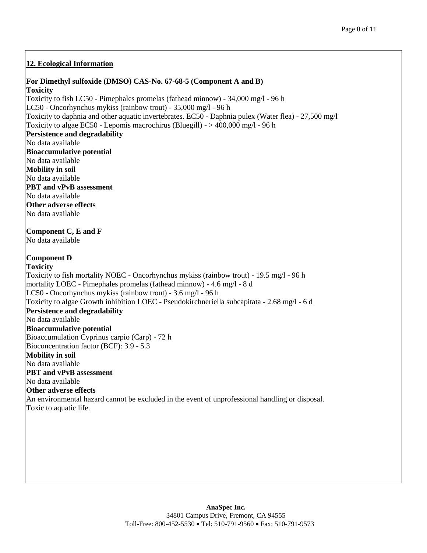## **12. Ecological Information**

#### **For Dimethyl sulfoxide (DMSO) CAS-No. 67-68-5 (Component A and B)**

**Toxicity** Toxicity to fish LC50 - Pimephales promelas (fathead minnow) - 34,000 mg/l - 96 h LC50 - Oncorhynchus mykiss (rainbow trout) - 35,000 mg/l - 96 h Toxicity to daphnia and other aquatic invertebrates. EC50 - Daphnia pulex (Water flea) - 27,500 mg/l Toxicity to algae EC50 - Lepomis macrochirus (Bluegill) - > 400,000 mg/l - 96 h **Persistence and degradability** No data available **Bioaccumulative potential** No data available **Mobility in soil** No data available **PBT and vPvB assessment** No data available **Other adverse effects** No data available **Component C, E and F** No data available **Component D Toxicity** Toxicity to fish mortality NOEC - Oncorhynchus mykiss (rainbow trout) - 19.5 mg/l - 96 h mortality LOEC - Pimephales promelas (fathead minnow) - 4.6 mg/l - 8 d LC50 - Oncorhynchus mykiss (rainbow trout) - 3.6 mg/l - 96 h Toxicity to algae Growth inhibition LOEC - Pseudokirchneriella subcapitata - 2.68 mg/l - 6 d **Persistence and degradability** No data available **Bioaccumulative potential** Bioaccumulation Cyprinus carpio (Carp) - 72 h Bioconcentration factor (BCF): 3.9 - 5.3 **Mobility in soil** No data available **PBT and vPvB assessment** No data available **Other adverse effects** An environmental hazard cannot be excluded in the event of unprofessional handling or disposal. Toxic to aquatic life.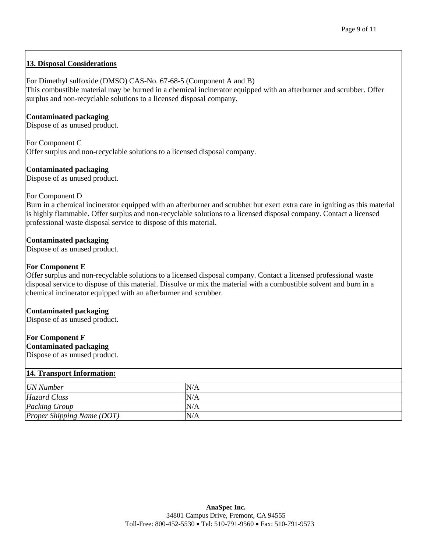## **13. Disposal Considerations**

#### For Dimethyl sulfoxide (DMSO) CAS-No. 67-68-5 (Component A and B)

This combustible material may be burned in a chemical incinerator equipped with an afterburner and scrubber. Offer surplus and non-recyclable solutions to a licensed disposal company.

#### **Contaminated packaging**

Dispose of as unused product.

For Component C Offer surplus and non-recyclable solutions to a licensed disposal company.

#### **Contaminated packaging**

Dispose of as unused product.

#### For Component D

Burn in a chemical incinerator equipped with an afterburner and scrubber but exert extra care in igniting as this material is highly flammable. Offer surplus and non-recyclable solutions to a licensed disposal company. Contact a licensed professional waste disposal service to dispose of this material.

#### **Contaminated packaging**

Dispose of as unused product.

#### **For Component E**

Offer surplus and non-recyclable solutions to a licensed disposal company. Contact a licensed professional waste disposal service to dispose of this material. Dissolve or mix the material with a combustible solvent and burn in a chemical incinerator equipped with an afterburner and scrubber.

#### **Contaminated packaging**

Dispose of as unused product.

#### **For Component F Contaminated packaging**

Dispose of as unused product.

#### **14. Transport Information:**

| <b>UN</b> Number                  | N/A |
|-----------------------------------|-----|
| Hazard Class                      | N/A |
| Packing Group                     | N/A |
| <b>Proper Shipping Name (DOT)</b> | N/A |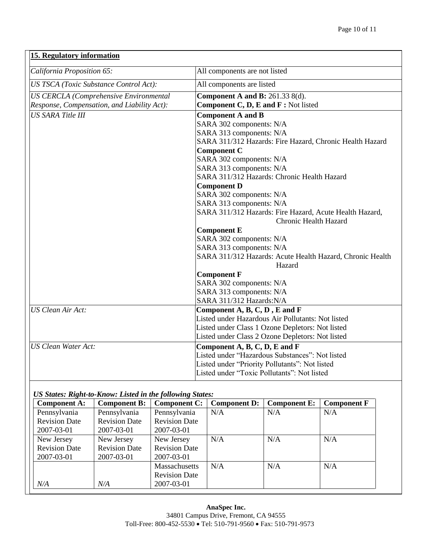| 15. Regulatory information                    |                                                                                         |  |  |  |
|-----------------------------------------------|-----------------------------------------------------------------------------------------|--|--|--|
| California Proposition 65:                    | All components are not listed                                                           |  |  |  |
| <b>US TSCA</b> (Toxic Substance Control Act): | All components are listed                                                               |  |  |  |
| <b>US CERCLA (Comprehensive Environmental</b> | <b>Component A and B: 261.33 8(d).</b>                                                  |  |  |  |
| Response, Compensation, and Liability Act):   | Component C, D, E and F: Not listed                                                     |  |  |  |
| <b>US SARA Title III</b>                      | <b>Component A and B</b>                                                                |  |  |  |
|                                               | SARA 302 components: N/A                                                                |  |  |  |
|                                               | SARA 313 components: N/A                                                                |  |  |  |
|                                               | SARA 311/312 Hazards: Fire Hazard, Chronic Health Hazard                                |  |  |  |
|                                               | <b>Component C</b>                                                                      |  |  |  |
|                                               | SARA 302 components: N/A                                                                |  |  |  |
|                                               | SARA 313 components: N/A                                                                |  |  |  |
|                                               | SARA 311/312 Hazards: Chronic Health Hazard                                             |  |  |  |
|                                               | <b>Component D</b>                                                                      |  |  |  |
|                                               | SARA 302 components: N/A                                                                |  |  |  |
|                                               | SARA 313 components: N/A                                                                |  |  |  |
|                                               | SARA 311/312 Hazards: Fire Hazard, Acute Health Hazard,<br><b>Chronic Health Hazard</b> |  |  |  |
|                                               | <b>Component E</b>                                                                      |  |  |  |
|                                               | SARA 302 components: N/A                                                                |  |  |  |
|                                               | SARA 313 components: N/A                                                                |  |  |  |
|                                               | SARA 311/312 Hazards: Acute Health Hazard, Chronic Health<br>Hazard                     |  |  |  |
|                                               | <b>Component F</b>                                                                      |  |  |  |
|                                               | SARA 302 components: N/A                                                                |  |  |  |
|                                               | SARA 313 components: N/A                                                                |  |  |  |
|                                               | SARA 311/312 Hazards: N/A                                                               |  |  |  |
| <b>US Clean Air Act:</b>                      | Component A, B, C, D, E and F                                                           |  |  |  |
|                                               | Listed under Hazardous Air Pollutants: Not listed                                       |  |  |  |
|                                               | Listed under Class 1 Ozone Depletors: Not listed                                        |  |  |  |
|                                               | Listed under Class 2 Ozone Depletors: Not listed                                        |  |  |  |
| <b>US Clean Water Act:</b>                    | Component A, B, C, D, E and F                                                           |  |  |  |
|                                               | Listed under "Hazardous Substances": Not listed                                         |  |  |  |
|                                               | Listed under "Priority Pollutants": Not listed                                          |  |  |  |
|                                               | Listed under "Toxic Pollutants": Not listed                                             |  |  |  |

## *US States: Right-to-Know: Listed in the following States:*

| <b>Component A:</b>  | <b>Component B:</b>  | <b>Component C:</b>  | <b>Component D:</b> | <b>Component E:</b> | <b>Component F</b> |
|----------------------|----------------------|----------------------|---------------------|---------------------|--------------------|
| Pennsylvania         | Pennsylvania         | Pennsylvania         | N/A                 | N/A                 | N/A                |
| <b>Revision Date</b> | <b>Revision Date</b> | <b>Revision Date</b> |                     |                     |                    |
| 2007-03-01           | 2007-03-01           | 2007-03-01           |                     |                     |                    |
| New Jersey           | New Jersey           | New Jersey           | N/A                 | N/A                 | N/A                |
| <b>Revision Date</b> | <b>Revision Date</b> | <b>Revision Date</b> |                     |                     |                    |
| 2007-03-01           | 2007-03-01           | 2007-03-01           |                     |                     |                    |
|                      |                      | <b>Massachusetts</b> | N/A                 | N/A                 | N/A                |
|                      |                      | <b>Revision Date</b> |                     |                     |                    |
| N/A                  | N/A                  | 2007-03-01           |                     |                     |                    |